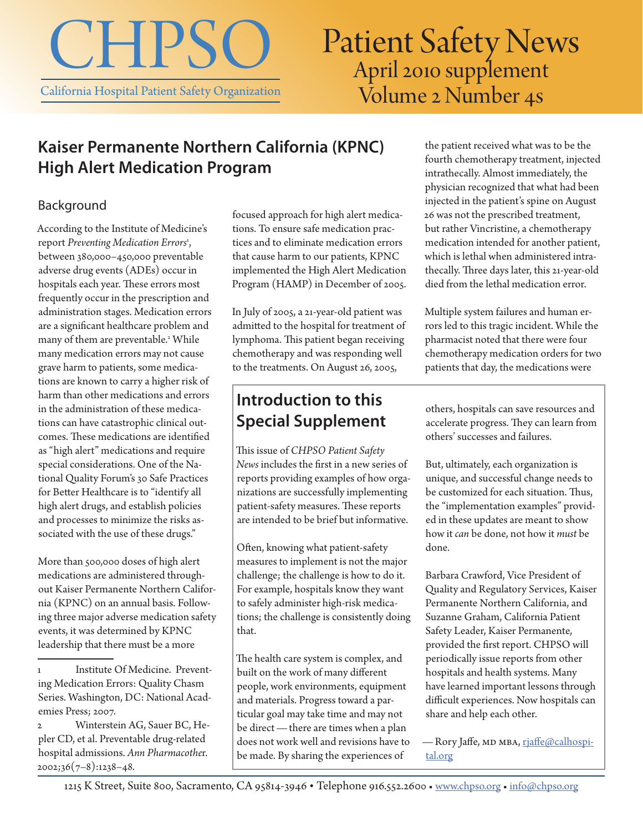

# Patient Safety News<br>April 2010 supplement Volume 2 Number 4s

### **Kaiser Permanente Northern California (KPNC) High Alert Medication Program**

#### Background

According to the Institute of Medicine's report Preventing Medication Errors<sup>1</sup>, between 380,000–450,000 preventable adverse drug events (ADEs) occur in hospitals each year. These errors most frequently occur in the prescription and administration stages. Medication errors are a significant healthcare problem and many of them are preventable.<sup>2</sup> While many medication errors may not cause grave harm to patients, some medications are known to carry a higher risk of harm than other medications and errors in the administration of these medications can have catastrophic clinical outcomes. These medications are identified as "high alert" medications and require special considerations. One of the National Quality Forum's 30 Safe Practices for Better Healthcare is to "identify all high alert drugs, and establish policies and processes to minimize the risks associated with the use of these drugs."

More than 500,000 doses of high alert medications are administered throughout Kaiser Permanente Northern California (KPNC) on an annual basis. Following three major adverse medication safety events, it was determined by KPNC leadership that there must be a more

focused approach for high alert medications. To ensure safe medication practices and to eliminate medication errors that cause harm to our patients, KPNC implemented the High Alert Medication Program (HAMP) in December of 2005.

In July of 2005, a 21-year-old patient was admitted to the hospital for treatment of lymphoma. This patient began receiving chemotherapy and was responding well to the treatments. On August 26, 2005,

### **Introduction to this Special Supplement**

This issue of *CHPSO Patient Safety News* includes the first in a new series of reports providing examples of how organizations are successfully implementing patient-safety measures. These reports are intended to be brief but informative.

Often, knowing what patient-safety measures to implement is not the major challenge; the challenge is how to do it. For example, hospitals know they want to safely administer high-risk medications; the challenge is consistently doing that.

The health care system is complex, and built on the work of many different people, work environments, equipment and materials. Progress toward a particular goal may take time and may not be direct—there are times when a plan does not work well and revisions have to be made. By sharing the experiences of

the patient received what was to be the fourth chemotherapy treatment, injected intrathecally. Almost immediately, the physician recognized that what had been injected in the patient's spine on August 26 was not the prescribed treatment, but rather Vincristine, a chemotherapy medication intended for another patient, which is lethal when administered intrathecally. Three days later, this 21-year-old died from the lethal medication error.

Multiple system failures and human errors led to this tragic incident. While the pharmacist noted that there were four chemotherapy medication orders for two patients that day, the medications were

others, hospitals can save resources and accelerate progress. They can learn from others' successes and failures.

But, ultimately, each organization is unique, and successful change needs to be customized for each situation. Thus, the "implementation examples" provided in these updates are meant to show how it *can* be done, not how it *must* be done.

Barbara Crawford, Vice President of Quality and Regulatory Services, Kaiser Permanente Northern California, and Suzanne Graham, California Patient Safety Leader, Kaiser Permanente, provided the first report. CHPSO will periodically issue reports from other hospitals and health systems. Many have learned important lessons through difficult experiences. Now hospitals can share and help each other.

— Rory Jaffe, мD мва, [rjaffe@calhospi](mailto:rjaffe%40calhospital.org?subject=)[tal.org](mailto:rjaffe%40calhospital.org?subject=)

<sup>1</sup> Institute Of Medicine. Preventing Medication Errors: Quality Chasm Series. Washington, DC: National Academies Press; 2007.

<sup>2</sup> Winterstein AG, Sauer BC, Hepler CD, et al. Preventable drug-related hospital admissions. *Ann Pharmacothe*r.  $2002;36(7-8):1238-48.$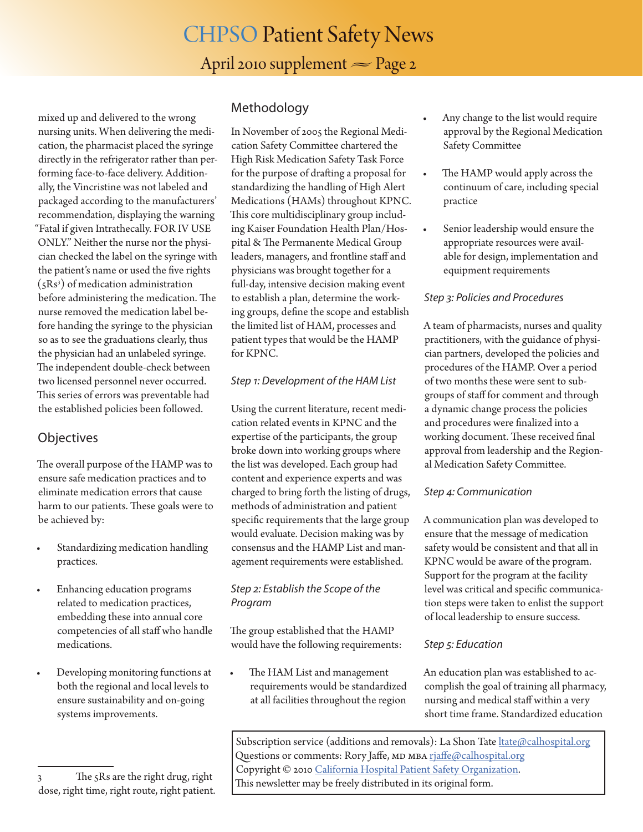## CHPSO Patient Safety News April 2010 supplement  $\approx$  Page 2

mixed up and delivered to the wrong nursing units. When delivering the medication, the pharmacist placed the syringe directly in the refrigerator rather than performing face-to-face delivery. Additionally, the Vincristine was not labeled and packaged according to the manufacturers' recommendation, displaying the warning "Fatal if given Intrathecally. FOR IV USE ONLY." Neither the nurse nor the physician checked the label on the syringe with the patient's name or used the five rights  $(SRs<sup>3</sup>)$  of medication administration before administering the medication. The nurse removed the medication label before handing the syringe to the physician so as to see the graduations clearly, thus the physician had an unlabeled syringe. The independent double-check between two licensed personnel never occurred. This series of errors was preventable had the established policies been followed.

#### **Objectives**

The overall purpose of the HAMP was to ensure safe medication practices and to eliminate medication errors that cause harm to our patients. These goals were to be achieved by:

- Standardizing medication handling practices.
- Enhancing education programs related to medication practices, embedding these into annual core competencies of all staff who handle medications.
- Developing monitoring functions at both the regional and local levels to ensure sustainability and on-going systems improvements.

3 The 5Rs are the right drug, right dose, right time, right route, right patient.

#### **Methodology**

In November of 2005 the Regional Medication Safety Committee chartered the High Risk Medication Safety Task Force for the purpose of drafting a proposal for standardizing the handling of High Alert Medications (HAMs) throughout KPNC. This core multidisciplinary group including Kaiser Foundation Health Plan/Hospital & The Permanente Medical Group leaders, managers, and frontline staff and physicians was brought together for a full-day, intensive decision making event to establish a plan, determine the working groups, define the scope and establish the limited list of HAM, processes and patient types that would be the HAMP for KPNC.

#### *Step 1: Development of the HAM List*

Using the current literature, recent medication related events in KPNC and the expertise of the participants, the group broke down into working groups where the list was developed. Each group had content and experience experts and was charged to bring forth the listing of drugs, methods of administration and patient specific requirements that the large group would evaluate. Decision making was by consensus and the HAMP List and management requirements were established.

#### *Step 2: Establish the Scope of the Program*

The group established that the HAMP would have the following requirements:

The HAM List and management requirements would be standardized at all facilities throughout the region

- Any change to the list would require approval by the Regional Medication Safety Committee
- The HAMP would apply across the continuum of care, including special practice
- Senior leadership would ensure the appropriate resources were available for design, implementation and equipment requirements

#### *Step 3: Policies and Procedures*

A team of pharmacists, nurses and quality practitioners, with the guidance of physician partners, developed the policies and procedures of the HAMP. Over a period of two months these were sent to subgroups of staff for comment and through a dynamic change process the policies and procedures were finalized into a working document. These received final approval from leadership and the Regional Medication Safety Committee.

#### *Step 4: Communication*

A communication plan was developed to ensure that the message of medication safety would be consistent and that all in KPNC would be aware of the program. Support for the program at the facility level was critical and specific communication steps were taken to enlist the support of local leadership to ensure success.

#### *Step 5: Education*

An education plan was established to accomplish the goal of training all pharmacy, nursing and medical staff within a very short time frame. Standardized education

Subscription service (additions and removals): La Shon Tate *hate@calhospital.org* Questions or comments: Rory Jaffe, MD MBA [rjaffe@calhospital.org](mailto:rjaffe%40calhospital.org?subject=CHPSO%20Patient%20Safety%20News%20question%20or%20comment) Copyright © 2010 [California Hospital Patient Safety Organization.](http://www.chpso.org/) This newsletter may be freely distributed in its original form.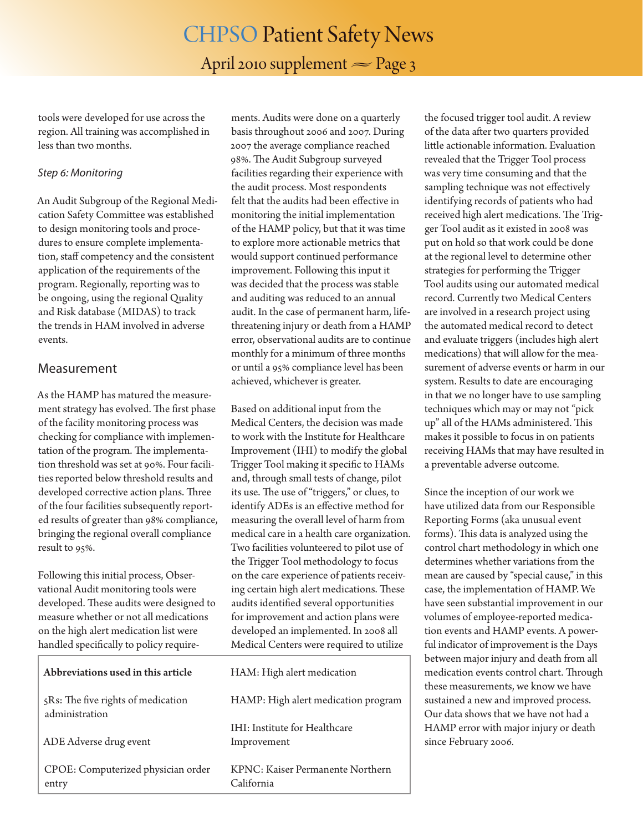### CHPSO Patient Safety News April 2010 supplement  $\approx$  Page 3

tools were developed for use across the region. All training was accomplished in less than two months.

#### *Step 6: Monitoring*

An Audit Subgroup of the Regional Medication Safety Committee was established to design monitoring tools and procedures to ensure complete implementation, staff competency and the consistent application of the requirements of the program. Regionally, reporting was to be ongoing, using the regional Quality and Risk database (MIDAS) to track the trends in HAM involved in adverse events.

#### Measurement

As the HAMP has matured the measurement strategy has evolved. The first phase of the facility monitoring process was checking for compliance with implementation of the program. The implementation threshold was set at 90%. Four facilities reported below threshold results and developed corrective action plans. Three of the four facilities subsequently reported results of greater than 98% compliance, bringing the regional overall compliance result to 95%.

Following this initial process, Observational Audit monitoring tools were developed. These audits were designed to measure whether or not all medications on the high alert medication list were handled specifically to policy require-

Abbreviations used in this arti-5Rs: The five rights of medication administration ADE Adverse drug event CPOE: Computerized physicial entry

ments. Audits were done on a quarterly basis throughout 2006 and 2007. During 2007 the average compliance reached 98%. The Audit Subgroup surveyed facilities regarding their experience with the audit process. Most respondents felt that the audits had been effective in monitoring the initial implementation of the HAMP policy, but that it was time to explore more actionable metrics that would support continued performance improvement. Following this input it was decided that the process was stable and auditing was reduced to an annual audit. In the case of permanent harm, lifethreatening injury or death from a HAMP error, observational audits are to continue monthly for a minimum of three months or until a 95% compliance level has been achieved, whichever is greater.

Based on additional input from the Medical Centers, the decision was made to work with the Institute for Healthcare Improvement (IHI) to modify the global Trigger Tool making it specific to HAMs and, through small tests of change, pilot its use. The use of "triggers," or clues, to identify ADEs is an effective method for measuring the overall level of harm from medical care in a health care organization. Two facilities volunteered to pilot use of the Trigger Tool methodology to focus on the care experience of patients receiving certain high alert medications. These audits identified several opportunities for improvement and action plans were developed an implemented. In 2008 all Medical Centers were required to utilize

| cle     | HAM: High alert medication                   |
|---------|----------------------------------------------|
| οn      | HAMP: High alert medication program          |
|         | IHI: Institute for Healthcare<br>Improvement |
| n order | KPNC: Kaiser Permanente Northern             |

California

the focused trigger tool audit. A review of the data after two quarters provided little actionable information. Evaluation revealed that the Trigger Tool process was very time consuming and that the sampling technique was not effectively identifying records of patients who had received high alert medications. The Trigger Tool audit as it existed in 2008 was put on hold so that work could be done at the regional level to determine other strategies for performing the Trigger Tool audits using our automated medical record. Currently two Medical Centers are involved in a research project using the automated medical record to detect and evaluate triggers (includes high alert medications) that will allow for the measurement of adverse events or harm in our system. Results to date are encouraging in that we no longer have to use sampling techniques which may or may not "pick up" all of the HAMs administered. This makes it possible to focus in on patients receiving HAMs that may have resulted in a preventable adverse outcome.

Since the inception of our work we have utilized data from our Responsible Reporting Forms (aka unusual event forms). This data is analyzed using the control chart methodology in which one determines whether variations from the mean are caused by "special cause," in this case, the implementation of HAMP. We have seen substantial improvement in our volumes of employee-reported medication events and HAMP events. A powerful indicator of improvement is the Days between major injury and death from all medication events control chart. Through these measurements, we know we have sustained a new and improved process. Our data shows that we have not had a HAMP error with major injury or death since February 2006.